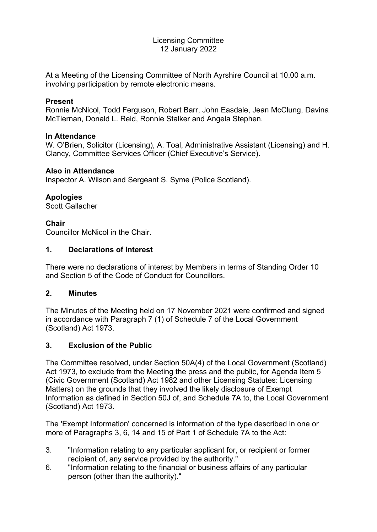#### Licensing Committee 12 January 2022

At a Meeting of the Licensing Committee of North Ayrshire Council at 10.00 a.m. involving participation by remote electronic means.

#### **Present**

Ronnie McNicol, Todd Ferguson, Robert Barr, John Easdale, Jean McClung, Davina McTiernan, Donald L. Reid, Ronnie Stalker and Angela Stephen.

### **In Attendance**

W. O'Brien, Solicitor (Licensing), A. Toal, Administrative Assistant (Licensing) and H. Clancy, Committee Services Officer (Chief Executive's Service).

### **Also in Attendance**

Inspector A. Wilson and Sergeant S. Syme (Police Scotland).

### **Apologies**

Scott Gallacher

### **Chair**

Councillor McNicol in the Chair.

### **1. Declarations of Interest**

There were no declarations of interest by Members in terms of Standing Order 10 and Section 5 of the Code of Conduct for Councillors.

#### **2. Minutes**

The Minutes of the Meeting held on 17 November 2021 were confirmed and signed in accordance with Paragraph 7 (1) of Schedule 7 of the Local Government (Scotland) Act 1973.

## **3. Exclusion of the Public**

The Committee resolved, under Section 50A(4) of the Local Government (Scotland) Act 1973, to exclude from the Meeting the press and the public, for Agenda Item 5 (Civic Government (Scotland) Act 1982 and other Licensing Statutes: Licensing Matters) on the grounds that they involved the likely disclosure of Exempt Information as defined in Section 50J of, and Schedule 7A to, the Local Government (Scotland) Act 1973.

The 'Exempt Information' concerned is information of the type described in one or more of Paragraphs 3, 6, 14 and 15 of Part 1 of Schedule 7A to the Act:

- 3. "Information relating to any particular applicant for, or recipient or former recipient of, any service provided by the authority."
- 6. "Information relating to the financial or business affairs of any particular person (other than the authority)."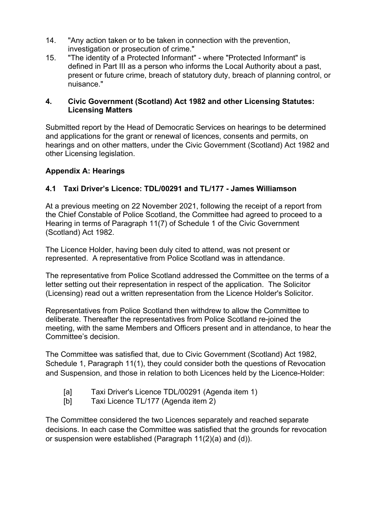- 14. "Any action taken or to be taken in connection with the prevention, investigation or prosecution of crime."
- 15. "The identity of a Protected Informant" where "Protected Informant" is defined in Part III as a person who informs the Local Authority about a past, present or future crime, breach of statutory duty, breach of planning control, or nuisance."

### **4. Civic Government (Scotland) Act 1982 and other Licensing Statutes: Licensing Matters**

Submitted report by the Head of Democratic Services on hearings to be determined and applications for the grant or renewal of licences, consents and permits, on hearings and on other matters, under the Civic Government (Scotland) Act 1982 and other Licensing legislation.

# **Appendix A: Hearings**

# **4.1 Taxi Driver's Licence: TDL/00291 and TL/177 - James Williamson**

At a previous meeting on 22 November 2021, following the receipt of a report from the Chief Constable of Police Scotland, the Committee had agreed to proceed to a Hearing in terms of Paragraph 11(7) of Schedule 1 of the Civic Government (Scotland) Act 1982.

The Licence Holder, having been duly cited to attend, was not present or represented. A representative from Police Scotland was in attendance.

The representative from Police Scotland addressed the Committee on the terms of a letter setting out their representation in respect of the application. The Solicitor (Licensing) read out a written representation from the Licence Holder's Solicitor.

Representatives from Police Scotland then withdrew to allow the Committee to deliberate. Thereafter the representatives from Police Scotland re-joined the meeting, with the same Members and Officers present and in attendance, to hear the Committee's decision.

The Committee was satisfied that, due to Civic Government (Scotland) Act 1982, Schedule 1, Paragraph 11(1), they could consider both the questions of Revocation and Suspension, and those in relation to both Licences held by the Licence-Holder:

- [a] Taxi Driver's Licence TDL/00291 (Agenda item 1)
- [b] Taxi Licence TL/177 (Agenda item 2)

The Committee considered the two Licences separately and reached separate decisions. In each case the Committee was satisfied that the grounds for revocation or suspension were established (Paragraph 11(2)(a) and (d)).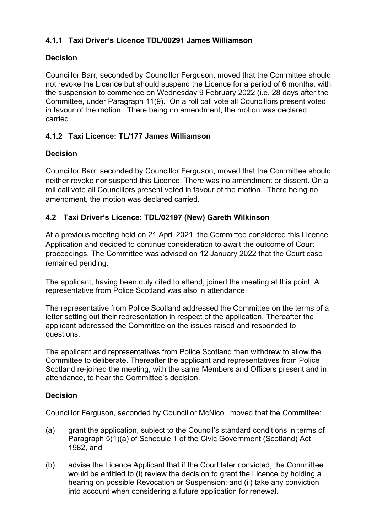# **4.1.1 Taxi Driver's Licence TDL/00291 James Williamson**

# **Decision**

Councillor Barr, seconded by Councillor Ferguson, moved that the Committee should not revoke the Licence but should suspend the Licence for a period of 6 months, with the suspension to commence on Wednesday 9 February 2022 (i.e. 28 days after the Committee, under Paragraph 11(9). On a roll call vote all Councillors present voted in favour of the motion. There being no amendment, the motion was declared carried.

# **4.1.2 Taxi Licence: TL/177 James Williamson**

## **Decision**

Councillor Barr, seconded by Councillor Ferguson, moved that the Committee should neither revoke nor suspend this Licence. There was no amendment or dissent. On a roll call vote all Councillors present voted in favour of the motion. There being no amendment, the motion was declared carried.

# **4.2 Taxi Driver's Licence: TDL/02197 (New) Gareth Wilkinson**

At a previous meeting held on 21 April 2021, the Committee considered this Licence Application and decided to continue consideration to await the outcome of Court proceedings. The Committee was advised on 12 January 2022 that the Court case remained pending.

The applicant, having been duly cited to attend, joined the meeting at this point. A representative from Police Scotland was also in attendance.

The representative from Police Scotland addressed the Committee on the terms of a letter setting out their representation in respect of the application. Thereafter the applicant addressed the Committee on the issues raised and responded to questions.

The applicant and representatives from Police Scotland then withdrew to allow the Committee to deliberate. Thereafter the applicant and representatives from Police Scotland re-joined the meeting, with the same Members and Officers present and in attendance, to hear the Committee's decision.

## **Decision**

Councillor Ferguson, seconded by Councillor McNicol, moved that the Committee:

- (a) grant the application, subject to the Council's standard conditions in terms of Paragraph 5(1)(a) of Schedule 1 of the Civic Government (Scotland) Act 1982, and
- (b) advise the Licence Applicant that if the Court later convicted, the Committee would be entitled to (i) review the decision to grant the Licence by holding a hearing on possible Revocation or Suspension; and (ii) take any conviction into account when considering a future application for renewal.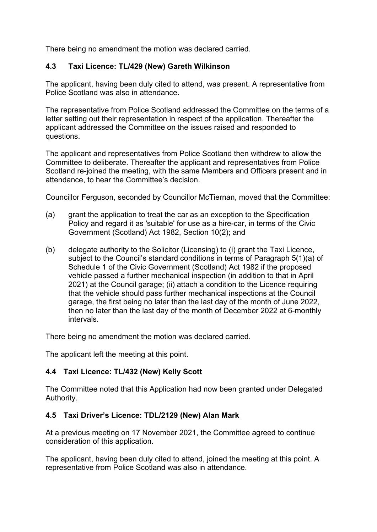There being no amendment the motion was declared carried.

## **4.3 Taxi Licence: TL/429 (New) Gareth Wilkinson**

The applicant, having been duly cited to attend, was present. A representative from Police Scotland was also in attendance.

The representative from Police Scotland addressed the Committee on the terms of a letter setting out their representation in respect of the application. Thereafter the applicant addressed the Committee on the issues raised and responded to questions.

The applicant and representatives from Police Scotland then withdrew to allow the Committee to deliberate. Thereafter the applicant and representatives from Police Scotland re-joined the meeting, with the same Members and Officers present and in attendance, to hear the Committee's decision.

Councillor Ferguson, seconded by Councillor McTiernan, moved that the Committee:

- (a) grant the application to treat the car as an exception to the Specification Policy and regard it as 'suitable' for use as a hire-car, in terms of the Civic Government (Scotland) Act 1982, Section 10(2); and
- (b) delegate authority to the Solicitor (Licensing) to (i) grant the Taxi Licence, subject to the Council's standard conditions in terms of Paragraph 5(1)(a) of Schedule 1 of the Civic Government (Scotland) Act 1982 if the proposed vehicle passed a further mechanical inspection (in addition to that in April 2021) at the Council garage; (ii) attach a condition to the Licence requiring that the vehicle should pass further mechanical inspections at the Council garage, the first being no later than the last day of the month of June 2022, then no later than the last day of the month of December 2022 at 6-monthly intervals.

There being no amendment the motion was declared carried.

The applicant left the meeting at this point.

## **4.4 Taxi Licence: TL/432 (New) Kelly Scott**

The Committee noted that this Application had now been granted under Delegated Authority.

## **4.5 Taxi Driver's Licence: TDL/2129 (New) Alan Mark**

At a previous meeting on 17 November 2021, the Committee agreed to continue consideration of this application.

The applicant, having been duly cited to attend, joined the meeting at this point. A representative from Police Scotland was also in attendance.